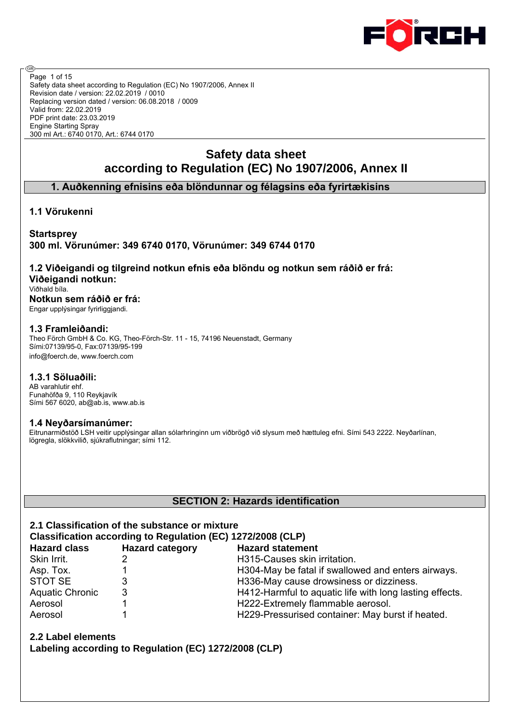

Safety data sheet according to Regulation (EC) No 1907/2006, Annex II Revision date / version: 22.02.2019 / 0010 Replacing version dated / version: 06.08.2018 / 0009 Valid from: 22.02.2019 PDF print date: 23.03.2019 Engine Starting Spray 300 ml Art.: 6740 0170, Art.: 6744 0170 Page 1 of 15

# **Safety data sheet according to Regulation (EC) No 1907/2006, Annex II**

# **1. Auðkenning efnisins eða blöndunnar og félagsins eða fyrirtækisins**

# **1.1 Vörukenni**

@

# **Startsprey 300 ml. Vörunúmer: 349 6740 0170, Vörunúmer: 349 6744 0170**

# **1.2 Viðeigandi og tilgreind notkun efnis eða blöndu og notkun sem ráðið er frá: Viðeigandi notkun:**

Viðhald bíla.

#### **Notkun sem ráðið er frá:** Engar upplýsingar fyrirliggjandi.

**1.3 Framleiðandi:**

Theo Förch GmbH & Co. KG, Theo-Förch-Str. 11 - 15, 74196 Neuenstadt, Germany Sími:07139/95-0, Fax:07139/95-199 info@foerch.de, www.foerch.com

#### **1.3.1 Söluaðili:**

AB varahlutir ehf. Funahöfða 9, 110 Reykjavík Sími 567 6020, ab@ab.is, www.ab.is

# **1.4 Neyðarsímanúmer:**

Eitrunarmiðstöð LSH veitir upplýsingar allan sólarhringinn um viðbrögð við slysum með hættuleg efni. Sími 543 2222. Neyðarlínan, lögregla, slökkvilið, sjúkraflutningar; sími 112.

# **SECTION 2: Hazards identification**

# **2.1 Classification of the substance or mixture**

| Classification according to Regulation (EC) 1272/2008 (CLP) |                        |                                                         |  |  |  |  |
|-------------------------------------------------------------|------------------------|---------------------------------------------------------|--|--|--|--|
| <b>Hazard class</b>                                         | <b>Hazard category</b> | <b>Hazard statement</b>                                 |  |  |  |  |
| Skin Irrit.                                                 |                        | H315-Causes skin irritation.                            |  |  |  |  |
| Asp. Tox.                                                   |                        | H304-May be fatal if swallowed and enters airways.      |  |  |  |  |
| STOT SE                                                     | 3                      | H336-May cause drowsiness or dizziness.                 |  |  |  |  |
| <b>Aquatic Chronic</b>                                      | 3                      | H412-Harmful to aquatic life with long lasting effects. |  |  |  |  |
| Aerosol                                                     |                        | H222-Extremely flammable aerosol.                       |  |  |  |  |
| Aerosol                                                     |                        | H229-Pressurised container: May burst if heated.        |  |  |  |  |

**2.2 Label elements**

**Labeling according to Regulation (EC) 1272/2008 (CLP)**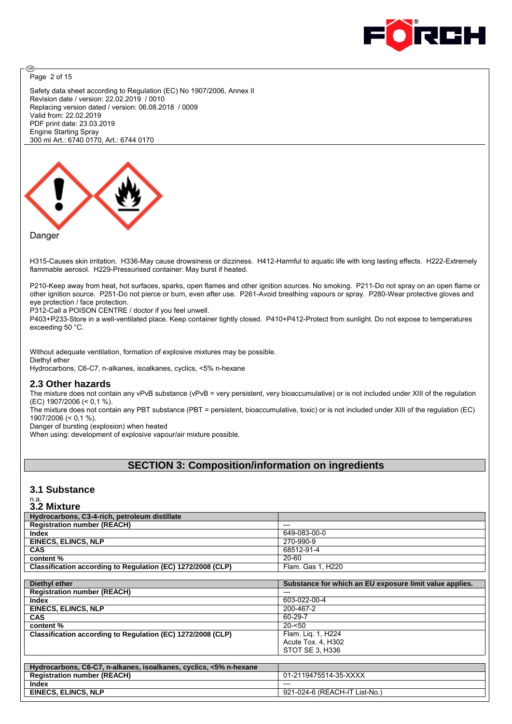

Page 2 of 15

അ

Safety data sheet according to Regulation (EC) No 1907/2006, Annex II Revision date / version: 22.02.2019 / 0010 Replacing version dated / version: 06.08.2018 / 0009 Valid from: 22.02.2019 PDF print date: 23.03.2019 Engine Starting Spray 300 ml Art.: 6740 0170, Art.: 6744 0170



#### Danger

H315-Causes skin irritation. H336-May cause drowsiness or dizziness. H412-Harmful to aquatic life with long lasting effects. H222-Extremely flammable aerosol. H229-Pressurised container: May burst if heated.

P210-Keep away from heat, hot surfaces, sparks, open flames and other ignition sources. No smoking. P211-Do not spray on an open flame or other ignition source. P251-Do not pierce or burn, even after use. P261-Avoid breathing vapours or spray. P280-Wear protective gloves and eye protection / face protection.

P312-Call a POISON CENTRE / doctor if you feel unwell.

P403+P233-Store in a well-ventilated place. Keep container tightly closed. P410+P412-Protect from sunlight. Do not expose to temperatures exceeding 50 °C.

Without adequate ventilation, formation of explosive mixtures may be possible. Diethyl ether Hydrocarbons, C6-C7, n-alkanes, isoalkanes, cyclics, <5% n-hexane

#### **2.3 Other hazards**

The mixture does not contain any vPvB substance (vPvB = very persistent, very bioaccumulative) or is not included under XIII of the regulation (EC) 1907/2006 (< 0,1 %).

The mixture does not contain any PBT substance (PBT = persistent, bioaccumulative, toxic) or is not included under XIII of the regulation (EC) 1907/2006 (< 0,1 %).

Danger of bursting (explosion) when heated

When using: development of explosive vapour/air mixture possible.

# **SECTION 3: Composition/information on ingredients**

#### **3.1 Substance**

# n.a. **3.2 Mixture**

| Hydrocarbons, C3-4-rich, petroleum distillate                     |                                                         |
|-------------------------------------------------------------------|---------------------------------------------------------|
| <b>Registration number (REACH)</b>                                | ---                                                     |
| <b>Index</b>                                                      | 649-083-00-0                                            |
| <b>EINECS, ELINCS, NLP</b>                                        | 270-990-9                                               |
| <b>CAS</b>                                                        | 68512-91-4                                              |
| content%                                                          | 20-60                                                   |
| Classification according to Regulation (EC) 1272/2008 (CLP)       | Flam. Gas 1, H220                                       |
|                                                                   |                                                         |
| Diethyl ether                                                     | Substance for which an EU exposure limit value applies. |
| <b>Registration number (REACH)</b>                                | ---                                                     |
| <b>Index</b>                                                      | 603-022-00-4                                            |
| <b>EINECS, ELINCS, NLP</b>                                        | 200-467-2                                               |
| <b>CAS</b>                                                        | 60-29-7                                                 |
| content %                                                         | $20 - 50$                                               |
| Classification according to Regulation (EC) 1272/2008 (CLP)       | Flam. Lig. 1, H224                                      |
|                                                                   | Acute Tox. 4, H302                                      |
|                                                                   | STOT SE 3. H336                                         |
|                                                                   |                                                         |
| Hydrocarbons, C6-C7, n-alkanes, isoalkanes, cyclics, <5% n-hexane |                                                         |
| <b>Registration number (REACH)</b>                                | 01-2119475514-35-XXXX                                   |
| <b>Index</b>                                                      |                                                         |
| <b>EINECS, ELINCS, NLP</b>                                        | 921-024-6 (REACH-IT List-No.)                           |
|                                                                   |                                                         |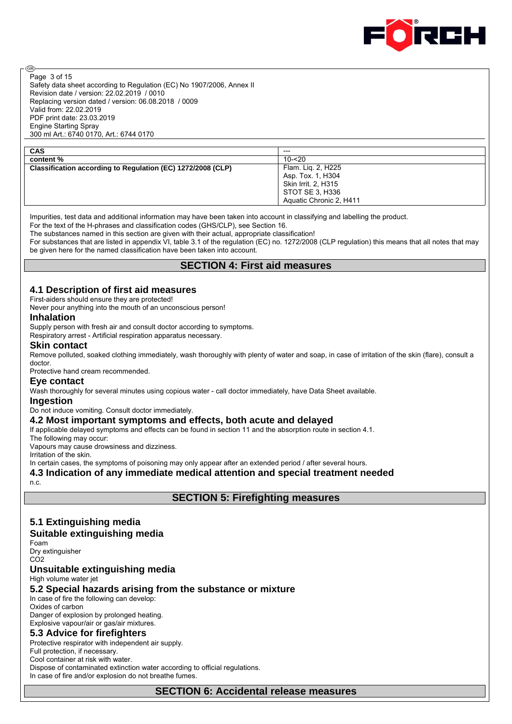

Safety data sheet according to Regulation (EC) No 1907/2006, Annex II Revision date / version: 22.02.2019 / 0010 Replacing version dated / version: 06.08.2018 / 0009 Valid from: 22.02.2019 PDF print date: 23.03.2019 Engine Starting Spray 300 ml Art.: 6740 0170, Art.: 6744 0170 Page 3 of 15

| CAS | --- |
|-----|-----|
| .   |     |

@

**content %**<br> **Classification according to Regulation (EC) 1272/2008 (CLP)** Flam. Liq. 2, H225 **Classification according to Regulation (EC) 1272/2008 (CLP)** 

Asp. Tox. 1, H304 Skin Irrit. 2, H315 STOT SE 3, H336 Aquatic Chronic 2, H411

Impurities, test data and additional information may have been taken into account in classifying and labelling the product. For the text of the H-phrases and classification codes (GHS/CLP), see Section 16.

The substances named in this section are given with their actual, appropriate classification!

For substances that are listed in appendix VI, table 3.1 of the regulation (EC) no. 1272/2008 (CLP regulation) this means that all notes that may be given here for the named classification have been taken into account.

## **SECTION 4: First aid measures**

#### **4.1 Description of first aid measures**

First-aiders should ensure they are protected!

Never pour anything into the mouth of an unconscious person!

#### **Inhalation**

Supply person with fresh air and consult doctor according to symptoms.

Respiratory arrest - Artificial respiration apparatus necessary.

#### **Skin contact**

Remove polluted, soaked clothing immediately, wash thoroughly with plenty of water and soap, in case of irritation of the skin (flare), consult a doctor.

Protective hand cream recommended.

#### **Eye contact**

Wash thoroughly for several minutes using copious water - call doctor immediately, have Data Sheet available.

#### **Ingestion**

Do not induce vomiting. Consult doctor immediately.

#### **4.2 Most important symptoms and effects, both acute and delayed**

If applicable delayed symptoms and effects can be found in section 11 and the absorption route in section 4.1.

The following may occur:

Vapours may cause drowsiness and dizziness.

Irritation of the skin.

In certain cases, the symptoms of poisoning may only appear after an extended period / after several hours.

**4.3 Indication of any immediate medical attention and special treatment needed**

n.c.

**SECTION 5: Firefighting measures**

# **5.1 Extinguishing media**

# **Suitable extinguishing media**

Foam Dry extinguisher CO2

#### **Unsuitable extinguishing media**

High volume water jet

#### **5.2 Special hazards arising from the substance or mixture**

In case of fire the following can develop: Oxides of carbon

Danger of explosion by prolonged heating. Explosive vapour/air or gas/air mixtures.

#### **5.3 Advice for firefighters**

Protective respirator with independent air supply. Full protection, if necessary. Cool container at risk with water. Dispose of contaminated extinction water according to official regulations. In case of fire and/or explosion do not breathe fumes.

**SECTION 6: Accidental release measures**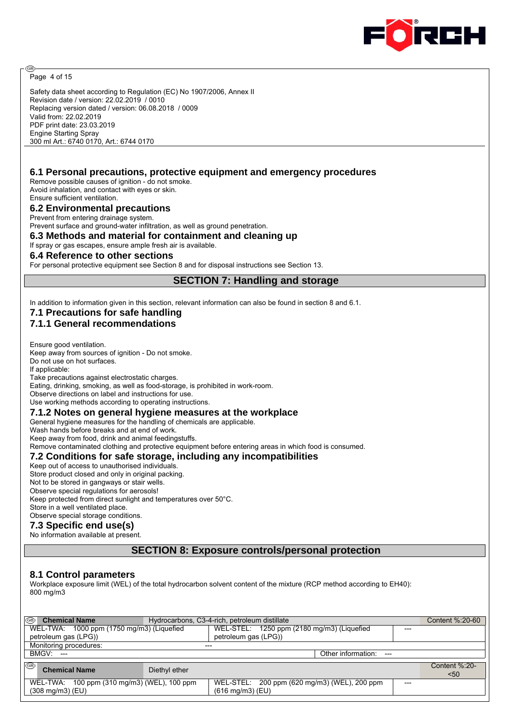

Page 4 of 15

@

Safety data sheet according to Regulation (EC) No 1907/2006, Annex II Revision date / version: 22.02.2019 / 0010 Replacing version dated / version: 06.08.2018 / 0009 Valid from: 22.02.2019 PDF print date: 23.03.2019 Engine Starting Spray 300 ml Art.: 6740 0170, Art.: 6744 0170

## **6.1 Personal precautions, protective equipment and emergency procedures**

Remove possible causes of ignition - do not smoke. Avoid inhalation, and contact with eyes or skin. Ensure sufficient ventilation.

**6.2 Environmental precautions**

Prevent from entering drainage system.

Prevent surface and ground-water infiltration, as well as ground penetration.

**6.3 Methods and material for containment and cleaning up**

If spray or gas escapes, ensure ample fresh air is available.

#### **6.4 Reference to other sections**

For personal protective equipment see Section 8 and for disposal instructions see Section 13.

**SECTION 7: Handling and storage**

In addition to information given in this section, relevant information can also be found in section 8 and 6.1.

# **7.1 Precautions for safe handling**

# **7.1.1 General recommendations**

Ensure good ventilation. Keep away from sources of ignition - Do not smoke.

Do not use on hot surfaces.

If applicable: Take precautions against electrostatic charges.

Eating, drinking, smoking, as well as food-storage, is prohibited in work-room.

Observe directions on label and instructions for use.

Use working methods according to operating instructions.

#### **7.1.2 Notes on general hygiene measures at the workplace**

General hygiene measures for the handling of chemicals are applicable.

Wash hands before breaks and at end of work.

Keep away from food, drink and animal feedingstuffs.

Remove contaminated clothing and protective equipment before entering areas in which food is consumed.

#### **7.2 Conditions for safe storage, including any incompatibilities**

Keep out of access to unauthorised individuals.

Store product closed and only in original packing.

Not to be stored in gangways or stair wells.

Observe special regulations for aerosols! Keep protected from direct sunlight and temperatures over 50°C.

Store in a well ventilated place.

Observe special storage conditions.

#### **7.3 Specific end use(s)**

No information available at present.

#### **SECTION 8: Exposure controls/personal protection**

#### **8.1 Control parameters**

Workplace exposure limit (WEL) of the total hydrocarbon solvent content of the mixture (RCP method according to EH40): 800 mg/m3

| I®<br><b>Chemical Name</b><br>Hydrocarbons, C3-4-rich, petroleum distillate |                                                                                   |                       |  |  |  |  |
|-----------------------------------------------------------------------------|-----------------------------------------------------------------------------------|-----------------------|--|--|--|--|
| WEL-TWA: 1000 ppm (1750 mg/m3) (Liquefied                                   | WEL-STEL: 1250 ppm (2180 mg/m3) (Liquefied                                        |                       |  |  |  |  |
| petroleum gas (LPG))                                                        | petroleum gas (LPG))                                                              |                       |  |  |  |  |
| Monitoring procedures:                                                      |                                                                                   |                       |  |  |  |  |
| BMGV: ---                                                                   | Other information: ---                                                            |                       |  |  |  |  |
| ⊛<br><b>Chemical Name</b><br>Diethyl ether                                  |                                                                                   | Content %:20-<br>$50$ |  |  |  |  |
| WEL-TWA: 100 ppm (310 mg/m3) (WEL), 100 ppm<br>$(308 \text{ mg/m3})$ (EU)   | WEL-STEL: 200 ppm (620 mg/m3) (WEL), 200 ppm<br>---<br>$(616 \text{ mg/m3})$ (EU) |                       |  |  |  |  |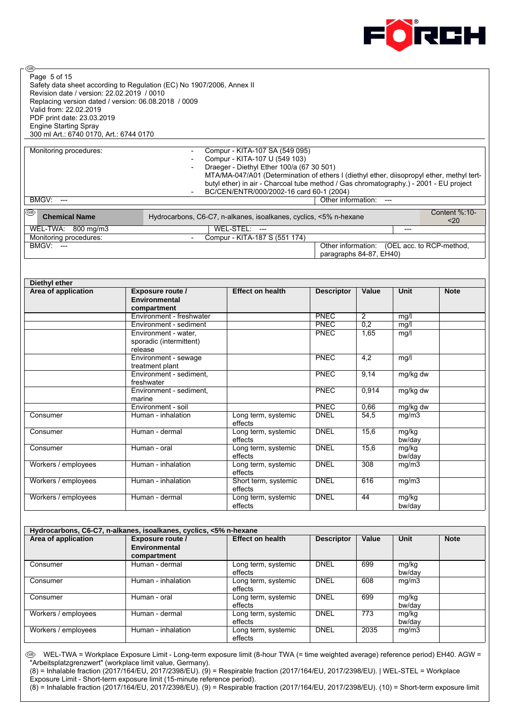

Safety data sheet according to Regulation (EC) No 1907/2006, Annex II Revision date / version: 22.02.2019 / 0010 Replacing version dated / version: 06.08.2018 / 0009 Valid from: 22.02.2019 PDF print date: 23.03.2019 Engine Starting Spray 300 ml Art.: 6740 0170, Art.: 6744 0170 Page 5 of 15

**®** 

Monitoring procedures:  $\sim$  Compur - KITA-107 SA (549 095) Compur - KITA-107 U (549 103) - Draeger - Diethyl Ether 100/a (67 30 501)

- MTA/MA-047/A01 (Determination of ethers I (diethyl ether, diisopropyl ether, methyl tertbutyl ether) in air - Charcoal tube method / Gas chromatography.) - 2001 - EU project BC/CEN/ENTR/000/2002-16 card 60-1 (2004)

| BMGV:<br>$---$             |                                                                   | Other information:                          | $---$ |                       |
|----------------------------|-------------------------------------------------------------------|---------------------------------------------|-------|-----------------------|
| I®<br><b>Chemical Name</b> | Hydrocarbons, C6-C7, n-alkanes, isoalkanes, cyclics, <5% n-hexane |                                             |       | Content %:10-<br>$20$ |
| WEL-TWA: 800 mg/m3         | $WEL-STEL: ---$                                                   |                                             | ---   |                       |
| Monitoring procedures:     | Compur - KITA-187 S (551 174)                                     |                                             |       |                       |
| BMGV:<br>----              |                                                                   | Other information: (OEL acc. to RCP-method, |       |                       |

paragraphs 84-87, EH40)

| Diethyl ether       |                                                            |                                 |                   |       |                 |             |  |
|---------------------|------------------------------------------------------------|---------------------------------|-------------------|-------|-----------------|-------------|--|
| Area of application | Exposure route /<br>Environmental<br>compartment           | <b>Effect on health</b>         | <b>Descriptor</b> | Value | Unit            | <b>Note</b> |  |
|                     | Environment - freshwater                                   |                                 | PNEC              | 2     | mg/l            |             |  |
|                     | Environment - sediment                                     |                                 | <b>PNEC</b>       | 0,2   | mg/l            |             |  |
|                     | Environment - water,<br>sporadic (intermittent)<br>release |                                 | <b>PNEC</b>       | 1,65  | mg/l            |             |  |
|                     | Environment - sewage<br>treatment plant                    |                                 | <b>PNEC</b>       | 4,2   | mg/l            |             |  |
|                     | Environment - sediment.<br>freshwater                      |                                 | <b>PNEC</b>       | 9,14  | mg/kg dw        |             |  |
|                     | Environment - sediment.<br>marine                          |                                 | <b>PNEC</b>       | 0.914 | mg/kg dw        |             |  |
|                     | Environment - soil                                         |                                 | <b>PNEC</b>       | 0,66  | mg/kg dw        |             |  |
| Consumer            | Human - inhalation                                         | Long term, systemic<br>effects  | <b>DNEL</b>       | 54.5  | mg/m3           |             |  |
| Consumer            | Human - dermal                                             | Long term, systemic<br>effects  | <b>DNEL</b>       | 15,6  | mg/kg<br>bw/day |             |  |
| Consumer            | Human - oral                                               | Long term, systemic<br>effects  | <b>DNEL</b>       | 15,6  | mg/kg<br>bw/day |             |  |
| Workers / employees | Human - inhalation                                         | Long term, systemic<br>effects  | <b>DNEL</b>       | 308   | mg/m3           |             |  |
| Workers / employees | Human - inhalation                                         | Short term, systemic<br>effects | <b>DNEL</b>       | 616   | mg/m3           |             |  |
| Workers / employees | Human - dermal                                             | Long term, systemic<br>effects  | <b>DNEL</b>       | 44    | mg/kg<br>bw/day |             |  |

| Hydrocarbons, C6-C7, n-alkanes, isoalkanes, cyclics, <5% n-hexane |                         |                                |                   |       |                 |             |  |  |
|-------------------------------------------------------------------|-------------------------|--------------------------------|-------------------|-------|-----------------|-------------|--|--|
| Area of application                                               | <b>Exposure route /</b> | <b>Effect on health</b>        | <b>Descriptor</b> | Value | <b>Unit</b>     | <b>Note</b> |  |  |
|                                                                   | Environmental           |                                |                   |       |                 |             |  |  |
|                                                                   | compartment             |                                |                   |       |                 |             |  |  |
| Consumer                                                          | Human - dermal          | Long term, systemic<br>effects | DNEL              | 699   | mg/kg<br>bw/day |             |  |  |
| Consumer                                                          | Human - inhalation      | Long term, systemic<br>effects | <b>DNEL</b>       | 608   | mg/m3           |             |  |  |
| Consumer                                                          | Human - oral            | Long term, systemic<br>effects | DNEL              | 699   | mg/kg<br>bw/dav |             |  |  |
| Workers / employees                                               | Human - dermal          | Long term, systemic<br>effects | DNEL              | 773   | mg/kg<br>bw/day |             |  |  |
| Workers / employees                                               | Human - inhalation      | Long term, systemic<br>effects | <b>DNEL</b>       | 2035  | mg/m3           |             |  |  |

 WEL-TWA = Workplace Exposure Limit - Long-term exposure limit (8-hour TWA (= time weighted average) reference period) EH40. AGW = "Arbeitsplatzgrenzwert" (workplace limit value, Germany).

(8) = Inhalable fraction (2017/164/EU, 2017/2398/EU). (9) = Respirable fraction (2017/164/EU, 2017/2398/EU). | WEL-STEL = Workplace Exposure Limit - Short-term exposure limit (15-minute reference period).

(8) = Inhalable fraction (2017/164/EU, 2017/2398/EU). (9) = Respirable fraction (2017/164/EU, 2017/2398/EU). (10) = Short-term exposure limit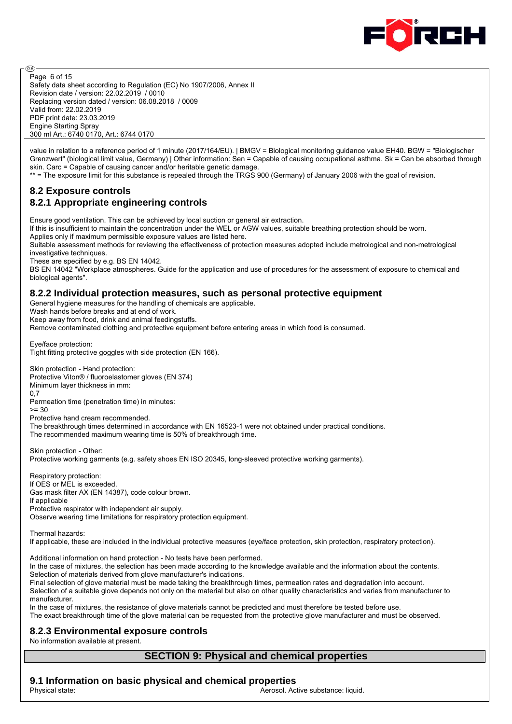

@ Page 6 of 15 Safety data sheet according to Regulation (EC) No 1907/2006, Annex II Revision date / version: 22.02.2019 / 0010 Replacing version dated / version: 06.08.2018 / 0009 Valid from: 22.02.2019 PDF print date: 23.03.2019 Engine Starting Spray 300 ml Art.: 6740 0170, Art.: 6744 0170

value in relation to a reference period of 1 minute (2017/164/EU). | BMGV = Biological monitoring guidance value EH40. BGW = "Biologischer Grenzwert" (biological limit value, Germany) | Other information: Sen = Capable of causing occupational asthma. Sk = Can be absorbed through skin. Carc = Capable of causing cancer and/or heritable genetic damage.

\*\* = The exposure limit for this substance is repealed through the TRGS 900 (Germany) of January 2006 with the goal of revision.

# **8.2 Exposure controls 8.2.1 Appropriate engineering controls**

Ensure good ventilation. This can be achieved by local suction or general air extraction.

If this is insufficient to maintain the concentration under the WEL or AGW values, suitable breathing protection should be worn. Applies only if maximum permissible exposure values are listed here.

Suitable assessment methods for reviewing the effectiveness of protection measures adopted include metrological and non-metrological investigative techniques.

These are specified by e.g. BS EN 14042.

BS EN 14042 "Workplace atmospheres. Guide for the application and use of procedures for the assessment of exposure to chemical and biological agents".

## **8.2.2 Individual protection measures, such as personal protective equipment**

General hygiene measures for the handling of chemicals are applicable.

Wash hands before breaks and at end of work.

Keep away from food, drink and animal feedingstuffs.

Remove contaminated clothing and protective equipment before entering areas in which food is consumed.

Eye/face protection:

Tight fitting protective goggles with side protection (EN 166).

Skin protection - Hand protection: Protective Viton® / fluoroelastomer gloves (EN 374) Minimum layer thickness in mm:  $0.7$ 

Permeation time (penetration time) in minutes:

 $>= 30$ Protective hand cream recommended.

The breakthrough times determined in accordance with EN 16523-1 were not obtained under practical conditions.

The recommended maximum wearing time is 50% of breakthrough time.

Skin protection - Other: Protective working garments (e.g. safety shoes EN ISO 20345, long-sleeved protective working garments).

Respiratory protection: If OES or MEL is exceeded. Gas mask filter AX (EN 14387), code colour brown. If applicable Protective respirator with independent air supply. Observe wearing time limitations for respiratory protection equipment.

Thermal hazards:

If applicable, these are included in the individual protective measures (eye/face protection, skin protection, respiratory protection).

Additional information on hand protection - No tests have been performed.

In the case of mixtures, the selection has been made according to the knowledge available and the information about the contents. Selection of materials derived from glove manufacturer's indications.

Final selection of glove material must be made taking the breakthrough times, permeation rates and degradation into account.

Selection of a suitable glove depends not only on the material but also on other quality characteristics and varies from manufacturer to manufacturer.

In the case of mixtures, the resistance of glove materials cannot be predicted and must therefore be tested before use. The exact breakthrough time of the glove material can be requested from the protective glove manufacturer and must be observed.

#### **8.2.3 Environmental exposure controls**

No information available at present.

# **SECTION 9: Physical and chemical properties**

# **9.1 Information on basic physical and chemical properties**

Physical state:  $\blacksquare$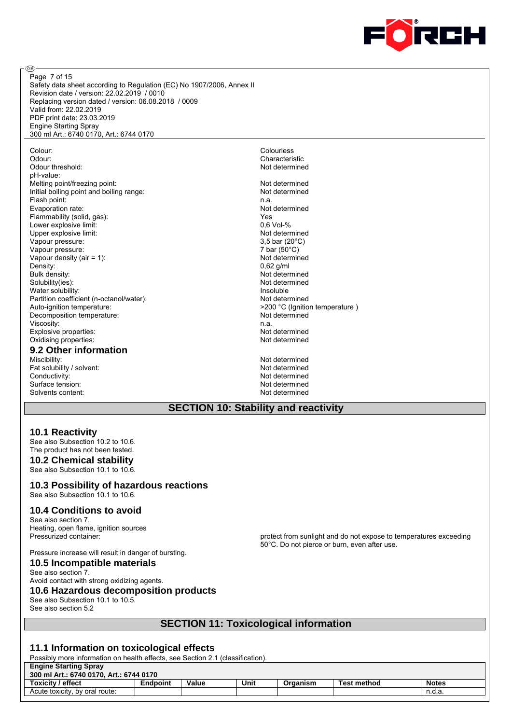

Safety data sheet according to Regulation (EC) No 1907/2006, Annex II Revision date / version: 22.02.2019 / 0010 Replacing version dated / version: 06.08.2018 / 0009 Valid from: 22.02.2019 PDF print date: 23.03.2019 Engine Starting Spray 300 ml Art.: 6740 0170, Art.: 6744 0170 Page 7 of 15

Colour: Colourless Odour:<br>
Odour threshold:<br>
Odour threshold: 
Solow threshold: Odour threshold: pH-value: Melting point/freezing point: Not determined Initial boiling point and boiling range: Not determined Flash point: n.a.<br>
Evaporation rate: n.a. Not determined<br>
Not determined Evaporation rate: Flammability (solid, gas): Yes Lower explosive limit:  $\begin{array}{ccc} 0,6 \text{ Vol-}\% \\ \text{Uoper} \end{array}$ Upper explosive limit:<br>
Vapour pressure: Not determined Vapour pressure: 13.5 bar (20°C) Vapour pressure: 3,5 bar (20°C)<br>
Vapour pressure: 3,5 bar (20°C)<br>
7 bar (50°C) Vapour pressure: 7 bar (50°C)  $\overline{7}$  bar (50°C)  $\overline{7}$  bar (50°C)  $\overline{7}$  bar (50°C)  $\overline{7}$  bar (50°C)  $\overline{7}$ Vapour density (air =  $1$ ): Density: 0,62 g/ml<br>Bulk density: 1990 and 2009 and 2009 and 2009 and 2009 and 2009 and 2009 and 2009 and 2009 and 2009 and 2009<br>Density: 2009 and 2009 and 2009 and 2009 and 2009 and 2009 and 2009 and 2009 and 2009 and 2009 Bulk density: Not determined<br>Solubility(ies): Not determined<br>Not determined Water solubility: Insoluble Partition coefficient (n-octanol/water):<br>Auto-ignition temperature:  $\bigcup_{z \geq 0}$  >200 °C (lanition Decomposition temperature: Not determined Viscosity: n.a. Explosive properties: Not determined Oxidising properties: Not determined

@

#### **9.2 Other information**

Miscibility: Not determined<br>
Fat solubility / solvent: Not determined<br>
Not determined Fat solubility / solvent: Conductivity: Not determined<br>
Surface tension: Not determined<br>
Not determined Surface tension: Solvents content: Not determined

Not determined >200 °C (Ignition temperature )

#### **SECTION 10: Stability and reactivity**

#### **10.1 Reactivity**

See also Subsection 10.2 to 10.6. The product has not been tested.

#### **10.2 Chemical stability**

See also Subsection 10.1 to 10.6.

**10.3 Possibility of hazardous reactions** See also Subsection 10.1 to 10.6.

#### **10.4 Conditions to avoid**

See also section 7. Heating, open flame, ignition sources<br>Pressurized container:

Pressure increase will result in danger of bursting. **10.5 Incompatible materials**

protect from sunlight and do not expose to temperatures exceeding 50°C. Do not pierce or burn, even after use.

#### See also section 7. Avoid contact with strong oxidizing agents. **10.6 Hazardous decomposition products** See also Subsection 10.1 to 10.5. See also section 5.2

# **SECTION 11: Toxicological information**

#### **11.1 Information on toxicological effects**

Possibly more information on health effects, see Section 2.1 (classification).

| <b>Engine Starting Spray</b><br>300 ml Art.: 6740 0170. Art.: 6744 0170 |       |      |          |                    |              |  |  |
|-------------------------------------------------------------------------|-------|------|----------|--------------------|--------------|--|--|
| <b>Endpoint</b>                                                         | Value | Unit | Organism | <b>Test method</b> | <b>Notes</b> |  |  |
|                                                                         |       |      |          |                    | n.d.a        |  |  |
|                                                                         |       |      |          |                    |              |  |  |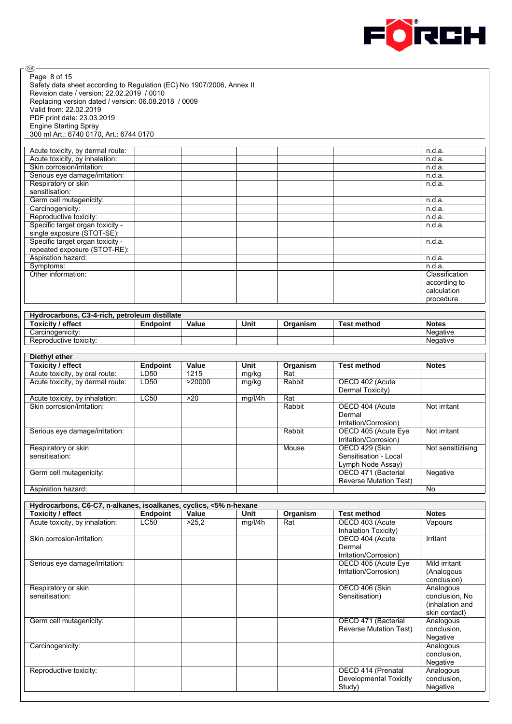

⊛ Page 8 of 15Safety data sheet according to Regulation (EC) No 1907/2006, Annex II Revision date / version: 22.02.2019 / 0010 Replacing version dated / version: 06.08.2018 / 0009 Valid from: 22.02.2019 PDF print date: 23.03.2019 Engine Starting Spray 300 ml Art.: 6740 0170, Art.: 6744 0170

| Acute toxicity, by dermal route: |  |  | n.d.a.         |
|----------------------------------|--|--|----------------|
| Acute toxicity, by inhalation:   |  |  | n.d.a.         |
| Skin corrosion/irritation:       |  |  | n.d.a.         |
| Serious eye damage/irritation:   |  |  | n.d.a.         |
| Respiratory or skin              |  |  | n.d.a.         |
| sensitisation:                   |  |  |                |
| Germ cell mutagenicity:          |  |  | n.d.a.         |
| Carcinogenicity:                 |  |  | n.d.a.         |
| Reproductive toxicity:           |  |  | n.d.a.         |
| Specific target organ toxicity - |  |  | n.d.a.         |
| single exposure (STOT-SE):       |  |  |                |
| Specific target organ toxicity - |  |  | n.d.a.         |
| repeated exposure (STOT-RE):     |  |  |                |
| Aspiration hazard:               |  |  | n.d.a.         |
| Symptoms:                        |  |  | n.d.a.         |
| Other information:               |  |  | Classification |
|                                  |  |  | according to   |
|                                  |  |  | calculation    |
|                                  |  |  | procedure.     |

| Hydrocarbons, C3-4-rich, petroleum distillate |          |       |      |          |             |              |  |  |
|-----------------------------------------------|----------|-------|------|----------|-------------|--------------|--|--|
| Toxicitv / effect                             | Endpoint | Value | Unit | Organism | Test method | <b>Notes</b> |  |  |
| Carcinogenicity:                              |          |       |      |          |             | Negative     |  |  |
| Reproductive toxicity:                        |          |       |      |          |             | Negative     |  |  |

| Diethyl ether                    |                 |        |         |          |                               |                   |
|----------------------------------|-----------------|--------|---------|----------|-------------------------------|-------------------|
| Toxicity / effect                | <b>Endpoint</b> | Value  | Unit    | Organism | <b>Test method</b>            | <b>Notes</b>      |
| Acute toxicity, by oral route:   | LD50            | 1215   | mg/kg   | Rat      |                               |                   |
| Acute toxicity, by dermal route: | LD50            | >20000 | mg/kg   | Rabbit   | OECD 402 (Acute               |                   |
|                                  |                 |        |         |          | Dermal Toxicity)              |                   |
| Acute toxicity, by inhalation:   | <b>LC50</b>     | >20    | mg/l/4h | Rat      |                               |                   |
| Skin corrosion/irritation:       |                 |        |         | Rabbit   | OECD 404 (Acute               | Not irritant      |
|                                  |                 |        |         |          | Dermal                        |                   |
|                                  |                 |        |         |          | Irritation/Corrosion)         |                   |
| Serious eye damage/irritation:   |                 |        |         | Rabbit   | OECD 405 (Acute Eye           | Not irritant      |
|                                  |                 |        |         |          | Irritation/Corrosion)         |                   |
| Respiratory or skin              |                 |        |         | Mouse    | OECD 429 (Skin                | Not sensitizising |
| sensitisation:                   |                 |        |         |          | Sensitisation - Local         |                   |
|                                  |                 |        |         |          | Lymph Node Assay)             |                   |
| Germ cell mutagenicity:          |                 |        |         |          | OECD 471 (Bacterial           | Negative          |
|                                  |                 |        |         |          | <b>Reverse Mutation Test)</b> |                   |
| Aspiration hazard:               |                 |        |         |          |                               | No                |

| Hydrocarbons, C6-C7, n-alkanes, isoalkanes, cyclics, <5% n-hexane |             |       |         |          |                               |                 |  |
|-------------------------------------------------------------------|-------------|-------|---------|----------|-------------------------------|-----------------|--|
| Toxicity / effect                                                 | Endpoint    | Value | Unit    | Organism | <b>Test method</b>            | <b>Notes</b>    |  |
| Acute toxicity, by inhalation:                                    | <b>LC50</b> | >25.2 | mg/l/4h | Rat      | OECD 403 (Acute               | Vapours         |  |
|                                                                   |             |       |         |          | Inhalation Toxicity)          |                 |  |
| Skin corrosion/irritation:                                        |             |       |         |          | OECD 404 (Acute               | Irritant        |  |
|                                                                   |             |       |         |          | Dermal                        |                 |  |
|                                                                   |             |       |         |          | Irritation/Corrosion)         |                 |  |
| Serious eye damage/irritation:                                    |             |       |         |          | OECD 405 (Acute Eye           | Mild irritant   |  |
|                                                                   |             |       |         |          | Irritation/Corrosion)         | (Analogous      |  |
|                                                                   |             |       |         |          |                               | conclusion)     |  |
| Respiratory or skin                                               |             |       |         |          | OECD 406 (Skin                | Analogous       |  |
| sensitisation:                                                    |             |       |         |          | Sensitisation)                | conclusion, No  |  |
|                                                                   |             |       |         |          |                               | (inhalation and |  |
|                                                                   |             |       |         |          |                               | skin contact)   |  |
| Germ cell mutagenicity:                                           |             |       |         |          | OECD 471 (Bacterial           | Analogous       |  |
|                                                                   |             |       |         |          | <b>Reverse Mutation Test)</b> | conclusion.     |  |
|                                                                   |             |       |         |          |                               | Negative        |  |
| Carcinogenicity:                                                  |             |       |         |          |                               | Analogous       |  |
|                                                                   |             |       |         |          |                               | conclusion,     |  |
|                                                                   |             |       |         |          |                               | Negative        |  |
| Reproductive toxicity:                                            |             |       |         |          | OECD 414 (Prenatal            | Analogous       |  |
|                                                                   |             |       |         |          | Developmental Toxicity        | conclusion,     |  |
|                                                                   |             |       |         |          | Study)                        | Negative        |  |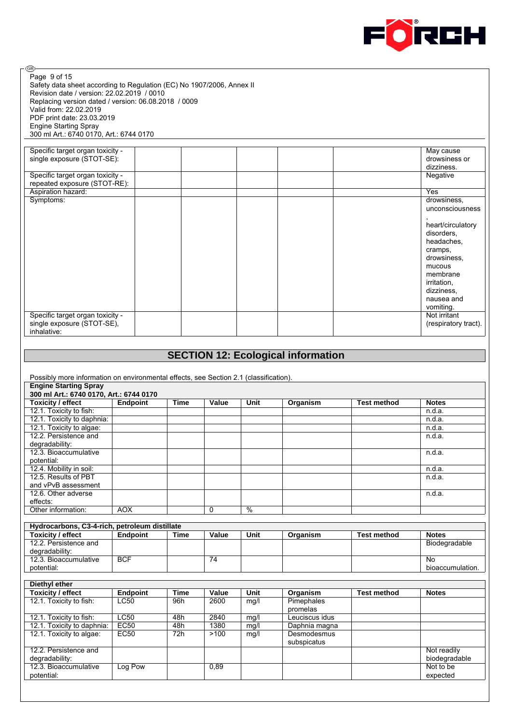

⊛ Page 9 of 15Safety data sheet according to Regulation (EC) No 1907/2006, Annex II Revision date / version: 22.02.2019 / 0010 Replacing version dated / version: 06.08.2018 / 0009 Valid from: 22.02.2019 PDF print date: 23.03.2019 Engine Starting Spray 300 ml Art.: 6740 0170, Art.: 6744 0170

| Specific target organ toxicity - |  |  | May cause            |
|----------------------------------|--|--|----------------------|
| single exposure (STOT-SE):       |  |  | drowsiness or        |
|                                  |  |  | dizziness.           |
| Specific target organ toxicity - |  |  | Negative             |
| repeated exposure (STOT-RE):     |  |  |                      |
| Aspiration hazard:               |  |  | Yes                  |
| Symptoms:                        |  |  | drowsiness,          |
|                                  |  |  | unconsciousness      |
|                                  |  |  |                      |
|                                  |  |  | heart/circulatory    |
|                                  |  |  | disorders,           |
|                                  |  |  | headaches,           |
|                                  |  |  | cramps,              |
|                                  |  |  | drowsiness,          |
|                                  |  |  | mucous               |
|                                  |  |  | membrane             |
|                                  |  |  | irritation,          |
|                                  |  |  | dizziness,           |
|                                  |  |  | nausea and           |
|                                  |  |  | vomiting.            |
| Specific target organ toxicity - |  |  | Not irritant         |
| single exposure (STOT-SE),       |  |  | (respiratory tract). |
| inhalative:                      |  |  |                      |

| Possibly more information on environmental effects, see Section 2.1 (classification).<br><b>Engine Starting Spray</b><br>300 ml Art.: 6740 0170, Art.: 6744 0170<br><b>Toxicity / effect</b><br><b>Endpoint</b><br>Value<br>Unit<br><b>Time</b><br>Organism<br><b>Test method</b><br>12.1. Toxicity to fish:<br>12.1. Toxicity to daphnia:<br>12.1. Toxicity to algae:<br>12.2. Persistence and<br>degradability:<br>12.3. Bioaccumulative<br>potential:<br>12.4. Mobility in soil:<br>12.5. Results of PBT<br>and vPvB assessment |                            |
|------------------------------------------------------------------------------------------------------------------------------------------------------------------------------------------------------------------------------------------------------------------------------------------------------------------------------------------------------------------------------------------------------------------------------------------------------------------------------------------------------------------------------------|----------------------------|
|                                                                                                                                                                                                                                                                                                                                                                                                                                                                                                                                    |                            |
|                                                                                                                                                                                                                                                                                                                                                                                                                                                                                                                                    |                            |
|                                                                                                                                                                                                                                                                                                                                                                                                                                                                                                                                    |                            |
|                                                                                                                                                                                                                                                                                                                                                                                                                                                                                                                                    |                            |
|                                                                                                                                                                                                                                                                                                                                                                                                                                                                                                                                    | <b>Notes</b>               |
|                                                                                                                                                                                                                                                                                                                                                                                                                                                                                                                                    | n.d.a.                     |
|                                                                                                                                                                                                                                                                                                                                                                                                                                                                                                                                    | n.d.a.                     |
|                                                                                                                                                                                                                                                                                                                                                                                                                                                                                                                                    | n.d.a.                     |
|                                                                                                                                                                                                                                                                                                                                                                                                                                                                                                                                    | n.d.a.                     |
|                                                                                                                                                                                                                                                                                                                                                                                                                                                                                                                                    |                            |
|                                                                                                                                                                                                                                                                                                                                                                                                                                                                                                                                    | n.d.a.                     |
|                                                                                                                                                                                                                                                                                                                                                                                                                                                                                                                                    |                            |
|                                                                                                                                                                                                                                                                                                                                                                                                                                                                                                                                    | n.d.a.                     |
|                                                                                                                                                                                                                                                                                                                                                                                                                                                                                                                                    | n.d.a.                     |
|                                                                                                                                                                                                                                                                                                                                                                                                                                                                                                                                    |                            |
| 12.6. Other adverse                                                                                                                                                                                                                                                                                                                                                                                                                                                                                                                | n.d.a.                     |
| effects:                                                                                                                                                                                                                                                                                                                                                                                                                                                                                                                           |                            |
| $\frac{0}{2}$<br>Other information:<br><b>AOX</b><br>0                                                                                                                                                                                                                                                                                                                                                                                                                                                                             |                            |
|                                                                                                                                                                                                                                                                                                                                                                                                                                                                                                                                    |                            |
| Hydrocarbons, C3-4-rich, petroleum distillate                                                                                                                                                                                                                                                                                                                                                                                                                                                                                      |                            |
| <b>Toxicity / effect</b><br><b>Endpoint</b><br>Value<br>Unit<br><b>Time</b><br>Organism<br><b>Test method</b>                                                                                                                                                                                                                                                                                                                                                                                                                      | <b>Notes</b>               |
| 12.2. Persistence and                                                                                                                                                                                                                                                                                                                                                                                                                                                                                                              | Biodegradable              |
| degradability:                                                                                                                                                                                                                                                                                                                                                                                                                                                                                                                     |                            |
| <b>BCF</b><br>12.3. Bioaccumulative<br>74                                                                                                                                                                                                                                                                                                                                                                                                                                                                                          | N <sub>0</sub>             |
| potential:                                                                                                                                                                                                                                                                                                                                                                                                                                                                                                                         | bioaccumulation.           |
|                                                                                                                                                                                                                                                                                                                                                                                                                                                                                                                                    |                            |
| Diethyl ether                                                                                                                                                                                                                                                                                                                                                                                                                                                                                                                      |                            |
| <b>Toxicity / effect</b><br><b>Time</b><br>Unit<br><b>Endpoint</b><br>Value<br>Organism<br><b>Test method</b>                                                                                                                                                                                                                                                                                                                                                                                                                      | <b>Notes</b>               |
| 12.1. Toxicity to fish:<br><b>LC50</b><br>Pimephales<br>2600<br>96h<br>mg/l                                                                                                                                                                                                                                                                                                                                                                                                                                                        |                            |
| promelas                                                                                                                                                                                                                                                                                                                                                                                                                                                                                                                           |                            |
| LC50<br>12.1. Toxicity to fish:<br>48h<br>2840<br>mg/l<br>Leuciscus idus                                                                                                                                                                                                                                                                                                                                                                                                                                                           |                            |
| EC50<br>1380<br>12.1. Toxicity to daphnia:<br>48h<br>mg/l<br>Daphnia magna                                                                                                                                                                                                                                                                                                                                                                                                                                                         |                            |
| 12.1. Toxicity to algae:<br><b>EC50</b><br>>100<br>Desmodesmus<br>72h<br>mg/l                                                                                                                                                                                                                                                                                                                                                                                                                                                      |                            |
| subspicatus                                                                                                                                                                                                                                                                                                                                                                                                                                                                                                                        |                            |
| 12.2. Persistence and                                                                                                                                                                                                                                                                                                                                                                                                                                                                                                              |                            |
| degradability:                                                                                                                                                                                                                                                                                                                                                                                                                                                                                                                     |                            |
| 12.3. Bioaccumulative<br>Log Pow<br>0,89                                                                                                                                                                                                                                                                                                                                                                                                                                                                                           | Not readily                |
| potential:                                                                                                                                                                                                                                                                                                                                                                                                                                                                                                                         | biodegradable<br>Not to be |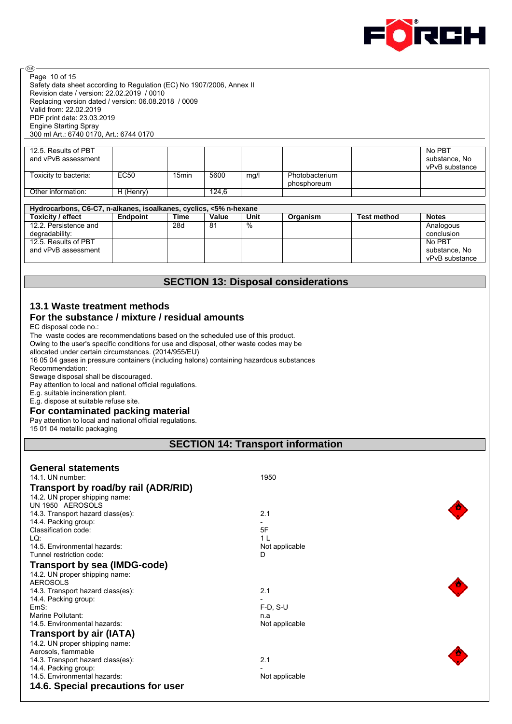

Safety data sheet according to Regulation (EC) No 1907/2006, Annex II Revision date / version: 22.02.2019 / 0010 Replacing version dated / version: 06.08.2018 / 0009 Valid from: 22.02.2019 PDF print date: 23.03.2019 Engine Starting Spray 300 ml Art.: 6740 0170, Art.: 6744 0170 Page 10 of 15

| 12.5. Results of PBT<br>and vPvB assessment |           |       |       |      |                               | No PBT<br>substance, No<br>vPvB substance |
|---------------------------------------------|-----------|-------|-------|------|-------------------------------|-------------------------------------------|
| Toxicity to bacteria:                       | EC50      | 15min | 5600  | mg/l | Photobacterium<br>phosphoreum |                                           |
| Other information:                          | H (Henry) |       | 124.6 |      |                               |                                           |

## **Hydrocarbons, C6-C7, n-alkanes, isoalkanes, cyclics, <5% n-hexane**

| <b>Toxicity / effect</b> | Endpoint | Time | Value | Unit | Organism | <b>Test method</b> | <b>Notes</b>   |
|--------------------------|----------|------|-------|------|----------|--------------------|----------------|
| 12.2. Persistence and    |          | 28d  | 81    | %    |          |                    | Analogous      |
| degradability:           |          |      |       |      |          |                    | conclusion     |
| 12.5. Results of PBT     |          |      |       |      |          |                    | No PBT         |
| and vPvB assessment      |          |      |       |      |          |                    | substance, No  |
|                          |          |      |       |      |          |                    | vPvB substance |

# **SECTION 13: Disposal considerations**

# **13.1 Waste treatment methods**

## **For the substance / mixture / residual amounts**

EC disposal code no.:

ම

The waste codes are recommendations based on the scheduled use of this product.

Owing to the user's specific conditions for use and disposal, other waste codes may be

allocated under certain circumstances. (2014/955/EU)

16 05 04 gases in pressure containers (including halons) containing hazardous substances Recommendation:

Sewage disposal shall be discouraged.

Pay attention to local and national official regulations.

E.g. suitable incineration plant.

E.g. dispose at suitable refuse site.

#### **For contaminated packing material**

Pay attention to local and national official regulations.

15 01 04 metallic packaging

## **SECTION 14: Transport information**

| <b>General statements</b><br>14.1. UN number: | 1950           |  |
|-----------------------------------------------|----------------|--|
| Transport by road/by rail (ADR/RID)           |                |  |
| 14.2. UN proper shipping name:                |                |  |
| UN 1950 AEROSOLS                              |                |  |
| 14.3. Transport hazard class(es):             | 2.1            |  |
| 14.4. Packing group:                          |                |  |
| Classification code:                          | 5F             |  |
| LQ:                                           | 1 <sub>L</sub> |  |
| 14.5. Environmental hazards:                  | Not applicable |  |
| Tunnel restriction code:                      | D              |  |
| <b>Transport by sea (IMDG-code)</b>           |                |  |
| 14.2. UN proper shipping name:                |                |  |
| <b>AEROSOLS</b>                               |                |  |
| 14.3. Transport hazard class(es):             | 2.1            |  |
| 14.4. Packing group:                          |                |  |
| EmS:                                          | $F-D$ , $S-U$  |  |
| Marine Pollutant:                             | n.a            |  |
| 14.5. Environmental hazards:                  | Not applicable |  |
| Transport by air (IATA)                       |                |  |
| 14.2. UN proper shipping name:                |                |  |
| Aerosols, flammable                           |                |  |
| 14.3. Transport hazard class(es):             | 2.1            |  |
| 14.4. Packing group:                          |                |  |
| 14.5. Environmental hazards:                  | Not applicable |  |
| 14.6. Special precautions for user            |                |  |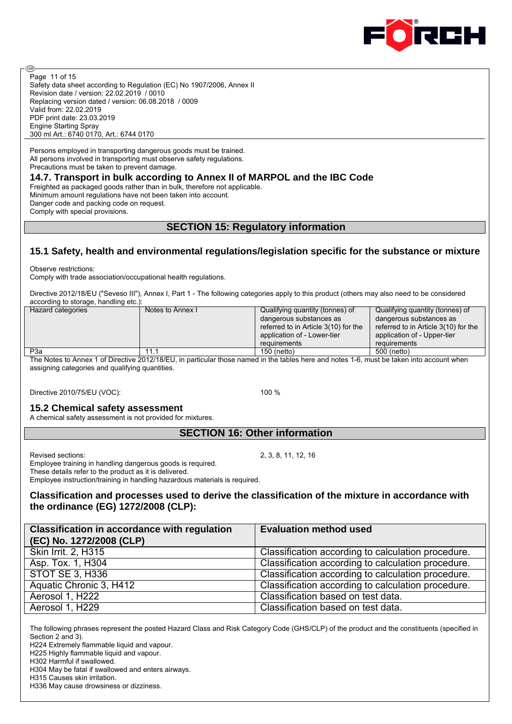

Safety data sheet according to Regulation (EC) No 1907/2006, Annex II Revision date / version: 22.02.2019 / 0010 Replacing version dated / version: 06.08.2018 / 0009 Valid from: 22.02.2019 PDF print date: 23.03.2019 Engine Starting Spray 300 ml Art.: 6740 0170, Art.: 6744 0170 Page 11 of 15

Persons employed in transporting dangerous goods must be trained. All persons involved in transporting must observe safety regulations. Precautions must be taken to prevent damage.

#### **14.7. Transport in bulk according to Annex II of MARPOL and the IBC Code**

Freighted as packaged goods rather than in bulk, therefore not applicable. Minimum amount regulations have not been taken into account. Danger code and packing code on request. Comply with special provisions.

# **SECTION 15: Regulatory information**

# **15.1 Safety, health and environmental regulations/legislation specific for the substance or mixture**

Observe restrictions:

@

Comply with trade association/occupational health regulations.

Directive 2012/18/EU ("Seveso III"), Annex I, Part 1 - The following categories apply to this product (others may also need to be considered according to storage, handling etc.):

| Hazard categories | Notes to Annex I | Qualifying quantity (tonnes) of      | Qualifying quantity (tonnes) of      |
|-------------------|------------------|--------------------------------------|--------------------------------------|
|                   |                  | dangerous substances as              | dangerous substances as              |
|                   |                  | referred to in Article 3(10) for the | referred to in Article 3(10) for the |
|                   |                  | application of - Lower-tier          | application of - Upper-tier          |
|                   |                  | requirements                         | requirements                         |
| P <sub>3</sub> a  | 11.5             | 150 (netto)                          | 500 (netto)                          |

The Notes to Annex 1 of Directive 2012/18/EU, in particular those named in the tables here and notes 1-6, must be taken into account when assigning categories and qualifying quantities.

Directive 2010/75/EU (VOC): 100 %

# **15.2 Chemical safety assessment**

A chemical safety assessment is not provided for mixtures.

# **SECTION 16: Other information**

Revised sections: 2, 3, 8, 11, 12, 16

Employee training in handling dangerous goods is required.

These details refer to the product as it is delivered.

Employee instruction/training in handling hazardous materials is required.

# **Classification and processes used to derive the classification of the mixture in accordance with the ordinance (EG) 1272/2008 (CLP):**

| <b>Classification in accordance with regulation</b><br>(EC) No. 1272/2008 (CLP) | <b>Evaluation method used</b>                      |
|---------------------------------------------------------------------------------|----------------------------------------------------|
| Skin Irrit. 2, H315                                                             | Classification according to calculation procedure. |
| Asp. Tox. 1, H304                                                               | Classification according to calculation procedure. |
| <b>STOT SE 3, H336</b>                                                          | Classification according to calculation procedure. |
| Aquatic Chronic 3, H412                                                         | Classification according to calculation procedure. |
| Aerosol 1, H222                                                                 | Classification based on test data.                 |
| Aerosol 1, H229                                                                 | Classification based on test data.                 |

The following phrases represent the posted Hazard Class and Risk Category Code (GHS/CLP) of the product and the constituents (specified in Section 2 and 3).

H224 Extremely flammable liquid and vapour.

H225 Highly flammable liquid and vapour. H302 Harmful if swallowed.

H304 May be fatal if swallowed and enters airways.

H315 Causes skin irritation.

H336 May cause drowsiness or dizziness.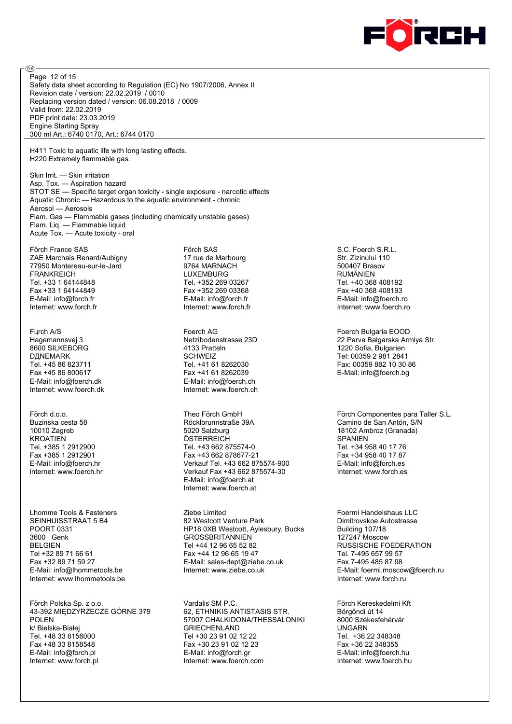

Safety data sheet according to Regulation (EC) No 1907/2006, Annex II Revision date / version: 22.02.2019 / 0010 Replacing version dated / version: 06.08.2018 / 0009 Valid from: 22.02.2019 PDF print date: 23.03.2019 Engine Starting Spray 300 ml Art.: 6740 0170, Art.: 6744 0170 Page 12 of 15

H411 Toxic to aquatic life with long lasting effects. H220 Extremely flammable gas.

Skin Irrit. — Skin irritation Asp. Tox. — Aspiration hazard STOT SE — Specific target organ toxicity - single exposure - narcotic effects Aquatic Chronic — Hazardous to the aquatic environment - chronic Aerosol — Aerosols Flam. Gas — Flammable gases (including chemically unstable gases) Flam. Liq. — Flammable liquid Acute Tox. — Acute toxicity - oral

Förch France SAS ZAE Marchais Renard/Aubigny 77950 Montereau-sur-le-Jard **FRANKREICH** Tel. +33 1 64144848 Fax +33 1 64144849 E-Mail: info@forch.fr Internet: www.forch.fr

@

Fцrch A/S Hagemannsvej 3 8600 SILKEBORG DДNEMARK Tel. +45 86 823711 Fax +45 86 800617 E-Mail: info@foerch.dk Internet: www.foerch.dk

Förch d.o.o. Buzinska cesta 58 10010 Zagreb KROATIEN Tel. +385 1 2912900 Fax +385 1 2912901 E-Mail: info@foerch.hr internet: www.foerch.hr

Lhomme Tools & Fasteners SEINHUISSTRAAT 5 B4 POORT 0331 3600 Genk BELGIEN Tel +32 89 71 66 61 Fax +32 89 71 59 27 E-Mail: info@lhommetools.be Internet: www.lhommetools.be

Förch Polska Sp. z o.o. 43-392 MIĘDZYRZECZE GÓRNE 379 POLEN k/ Bielska-Białej Tel. +48 33 8156000 Fax +48 33 8158548 E-Mail: info@forch.pl Internet: www.forch.pl

Förch SAS 17 rue de Marbourg 9764 MARNACH **LUXEMBURG** Tel. +352 269 03267 Fax +352 269 03368 E-Mail: info@forch.fr Internet: www.forch.fr

Foerch AG Netzibodenstrasse 23D 4133 Pratteln SCHWEIZ Tel. +41 61 8262030 Fax +41 61 8262039 E-Mail: info@foerch.ch Internet: www.foerch.ch

Theo Förch GmbH Röcklbrunnstraße 39A 5020 Salzburg **ÖSTERREICH** Tel. +43 662 875574-0 Fax +43 662 878677-21 Verkauf Tel. +43 662 875574-900 Verkauf Fax +43 662 875574-30 E-Mail: info@foerch.at Internet: www.foerch.at

Ziebe Limited 82 Westcott Venture Park HP18 0XB Westcott, Aylesbury, Bucks GROSSBRITANNIEN Tel +44 12 96 65 52 82 Fax +44 12 96 65 19 47 E-Mail: sales-dept@ziebe.co.uk Internet: www.ziebe.co.uk

Vardalis SM P.C. 62, ETHNIKIS ANTISTASIS STR. 57007 CHALKIDONA/THESSALONIKI GRIECHENLAND Tel +30 23 91 02 12 22 Fax +30 23 91 02 12 23 E-Mail: info@forch.gr Internet: www.foerch.com

S.C. Foerch S.R.L. Str. Zizinului 110 500407 Brasov RUMÄNIEN Tel. +40 368 408192 Fax +40 368 408193 E-Mail: info@foerch.ro Internet: www.foerch.ro

Foerch Bulgaria EOOD 22 Parva Balgarska Armiya Str. 1220 Sofia, Bulgarien Tel: 00359 2 981 2841 Fax: 00359 882 10 30 86 E-Mail: info@foerch.bg

Förch Componentes para Taller S.L. Camino de San Antón, S/N 18102 Ambroz (Granada) SPANIEN Tel. +34 958 40 17 76 Fax +34 958 40 17 87 E-Mail: info@forch.es Internet: www.forch.es

Foermi Handelshaus LLC Dimitrovskoe Autostrasse Building 107/18 127247 Moscow RUSSISCHE FOEDERATION Tel. 7-495 657 99 57 Fax 7-495 485 87 98 E-Mail: foermi.moscow@foerch.ru Internet: www.forch.ru

Förch Kereskedelmi Kft Börgöndi út 14 8000 Székesfehérvár UNGARN Tel. +36 22 348348 Fax +36 22 348355 E-Mail: info@foerch.hu Internet: www.foerch.hu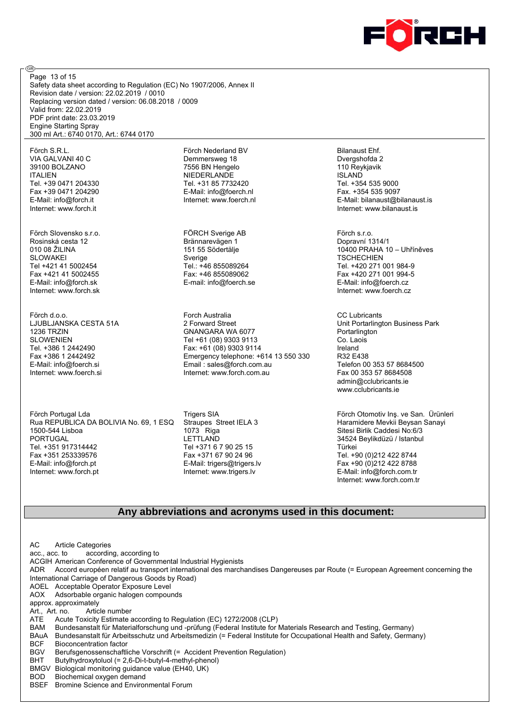

Safety data sheet according to Regulation (EC) No 1907/2006, Annex II Revision date / version: 22.02.2019 / 0010 Replacing version dated / version: 06.08.2018 / 0009 Valid from: 22.02.2019 PDF print date: 23.03.2019 Engine Starting Spray 300 ml Art.: 6740 0170, Art.: 6744 0170 Page 13 of 15

Förch S.R.L. VIA GALVANI 40 C 39100 BOLZANO ITALIEN Tel. +39 0471 204330 Fax +39 0471 204290 E-Mail: info@forch.it Internet: www.forch.it

@

Förch Slovensko s.r.o. Rosinská cesta 12 010 08 ŽILINA **SLOWAKEI** Tel +421 41 5002454 Fax +421 41 5002455 E-Mail: info@forch.sk Internet: www.forch.sk

Förch d.o.o. LJUBLJANSKA CESTA 51A 1236 TRZIN SLOWENIEN Tel. +386 1 2442490 Fax +386 1 2442492 E-Mail: info@foerch.si Internet: www.foerch.si

Förch Portugal Lda Rua REPUBLICA DA BOLIVIA No. 69, 1 ESQ 1500-544 Lisboa PORTUGAL Tel. +351 917314442 Fax +351 253339576 E-Mail: info@forch.pt Internet: www.forch.pt

Förch Nederland BV Demmersweg 18 7556 BN Hengelo NIEDERLANDE Tel. +31 85 7732420 E-Mail: info@foerch.nl Internet: www.foerch.nl

FÖRCH Sverige AB Brännarevägen 1 151 55 Södertälje Sverige Tel.: +46 855089264 Fax: +46 855089062 E-mail: info@foerch.se

Forch Australia 2 Forward Street GNANGARA WA 6077 Tel +61 (08) 9303 9113 Fax: +61 (08) 9303 9114 Emergency telephone: +614 13 550 330 Email : sales@forch.com.au Internet: www.forch.com.au

Trigers SIA Straupes Street IELA 3 1073 Riga LETTLAND Tel +371 6 7 90 25 15 Fax +371 67 90 24 96 E-Mail: trigers@trigers.lv Internet: www.trigers.lv

Bilanaust Ehf. Dvergshofda 2 110 Reykjavik **ISLAND** Tel. +354 535 9000 Fax. +354 535 9097 E-Mail: bilanaust@bilanaust.is Internet: www.bilanaust.is

Förch s.r.o. Dopravní 1314/1 10400 PRAHA 10 – Uhříněves **TSCHECHIEN** Tel. +420 271 001 984-9 Fax +420 271 001 994-5 E-Mail: info@foerch.cz Internet: www.foerch.cz

CC Lubricants Unit Portarlington Business Park Portarlington Co. Laois Ireland R32 E438 Telefon 00 353 57 8684500 Fax 00 353 57 8684508 admin@cclubricants.ie www.cclubricants.ie

Förch Otomotiv Inş. ve San. Ürünleri Haramidere Mevkii Beysan Sanayi Sitesi Birlik Caddesi No:6/3 34524 Beylikdüzü / Istanbul Türkei Tel. +90 (0)212 422 8744 Fax +90 (0)212 422 8788 E-Mail: info@forch.com.tr Internet: www.forch.com.tr

#### **Any abbreviations and acronyms used in this document:**

AC Article Categories acc., acc. to according, according to ACGIH American Conference of Governmental Industrial Hygienists ADR Accord européen relatif au transport international des marchandises Dangereuses par Route (= European Agreement concerning the International Carriage of Dangerous Goods by Road) AOEL Acceptable Operator Exposure Level AOX Adsorbable organic halogen compounds approx. approximately Art., Art. no. Article number ATE Acute Toxicity Estimate according to Regulation (EC) 1272/2008 (CLP) BAM Bundesanstalt für Materialforschung und -prüfung (Federal Institute for Materials Research and Testing, Germany) BAuA Bundesanstalt für Arbeitsschutz und Arbeitsmedizin (= Federal Institute for Occupational Health and Safety, Germany)<br>BCF Bioconcentration factor Bioconcentration factor BGV Berufsgenossenschaftliche Vorschrift (= Accident Prevention Regulation) BHT Butylhydroxytoluol (= 2,6-Di-t-butyl-4-methyl-phenol) BMGV Biological monitoring guidance value (EH40, UK) BOD Biochemical oxygen demand BSEF Bromine Science and Environmental Forum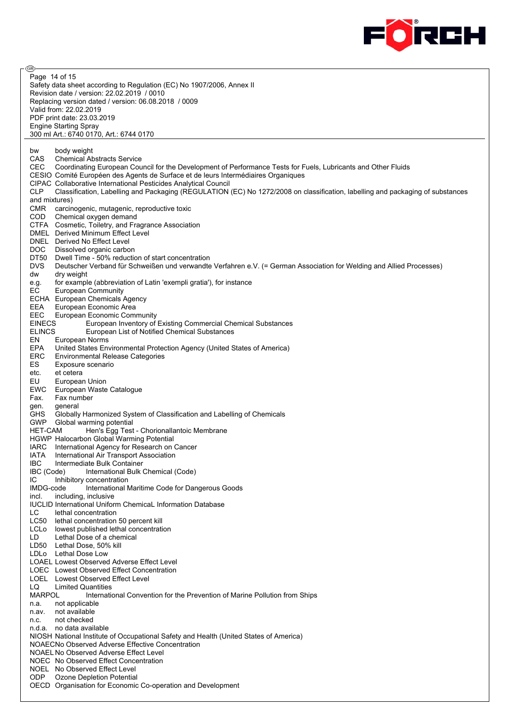

ම Page 14 of 15Safety data sheet according to Regulation (EC) No 1907/2006, Annex II Revision date / version: 22.02.2019 / 0010 Replacing version dated / version: 06.08.2018 / 0009 Valid from: 22.02.2019 PDF print date: 23.03.2019 Engine Starting Spray 300 ml Art.: 6740 0170, Art.: 6744 0170 bw body weight CAS Chemical Abstracts Service<br>CEC Coordinating European Cou Coordinating European Council for the Development of Performance Tests for Fuels, Lubricants and Other Fluids CESIO Comité Européen des Agents de Surface et de leurs Intermédiaires Organiques CIPAC Collaborative International Pesticides Analytical Council CLP Classification, Labelling and Packaging (REGULATION (EC) No 1272/2008 on classification, labelling and packaging of substances and mixtures) CMR carcinogenic, mutagenic, reproductive toxic COD Chemical oxygen demand CTFA Cosmetic, Toiletry, and Fragrance Association DMEL Derived Minimum Effect Level DNEL Derived No Effect Level DOC Dissolved organic carbon DT50 Dwell Time - 50% reduction of start concentration DVS Deutscher Verband für Schweißen und verwandte Verfahren e.V. (= German Association for Welding and Allied Processes) dw dry weight e.g. for example (abbreviation of Latin 'exempli gratia'), for instance EC European Community ECHA European Chemicals Agency EEA European Economic Area EEC European Economic Community<br>EINECS European Inventory of European Inventory of Existing Commercial Chemical Substances ELINCS European List of Notified Chemical Substances EN European Norms<br>EPA United States En United States Environmental Protection Agency (United States of America) ERC Environmental Release Categories ES Exposure scenario etc. et cetera<br>EU Europea European Union EWC European Waste Catalogue Fax. Fax number gen. general GHS Globally Harmonized System of Classification and Labelling of Chemicals GWP Global warming potential<br>HET-CAM Hen's Egg Test Hen's Egg Test - Chorionallantoic Membrane HGWP Halocarbon Global Warming Potential IARC International Agency for Research on Cancer IATA International Air Transport Association IBC Intermediate Bulk Container IBC (Code) International Bulk Chemical (Code) IC Inhibitory concentration<br>IMDG-code International N International Maritime Code for Dangerous Goods incl. including, inclusive IUCLID International Uniform ChemicaL Information Database LC lethal concentration LC50 lethal concentration 50 percent kill LCLo lowest published lethal concentration LD Lethal Dose of a chemical LD50 Lethal Dose, 50% kill LDLo Lethal Dose Low LOAEL Lowest Observed Adverse Effect Level LOEC Lowest Observed Effect Concentration LOEL Lowest Observed Effect Level LQ Limited Quantities MARPOL International Convention for the Prevention of Marine Pollution from Ships n.a. not applicable n.av. not available n.c. not checked n.d.a. no data available NIOSH National Institute of Occupational Safety and Health (United States of America) NOAECNo Observed Adverse Effective Concentration NOAEL No Observed Adverse Effect Level NOEC No Observed Effect Concentration NOEL No Observed Effect Level ODP Ozone Depletion Potential OECD Organisation for Economic Co-operation and Development